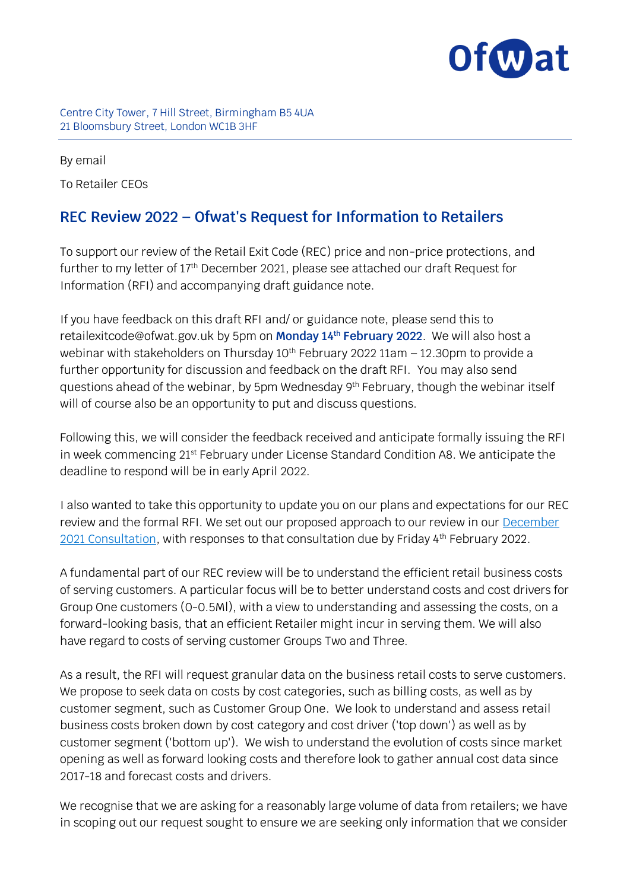

## Centre City Tower, 7 Hill Street, Birmingham B5 4UA 21 Bloomsbury Street, London WC1B 3HF

By email To Retailer CEOs

## **REC Review 2022 – Ofwat's Request for Information to Retailers**

To support our review of the Retail Exit Code (REC) price and non-price protections, and further to my letter of 17th December 2021, please see attached our draft Request for Information (RFI) and accompanying draft guidance note.

If you have feedback on this draft RFI and/ or guidance note, please send this to retailexitcode@ofwat.gov.uk by 5pm on **Monday 14th February 2022**. We will also host a webinar with stakeholders on Thursday  $10<sup>th</sup>$  February 2022 11am – 12.30pm to provide a further opportunity for discussion and feedback on the draft RFI. You may also send questions ahead of the webinar, by 5pm Wednesday 9<sup>th</sup> February, though the webinar itself will of course also be an opportunity to put and discuss questions.

Following this, we will consider the feedback received and anticipate formally issuing the RFI in week commencing 21<sup>st</sup> February under License Standard Condition A8. We anticipate the deadline to respond will be in early April 2022.

I also wanted to take this opportunity to update you on our plans and expectations for our REC review and the formal RFI. We set out our proposed approach to our review in our **December** [2021 Consultation,](https://www.ofwat.gov.uk/consultation/consultation-business-retail-market-2021-22-review-of-the-retail-exit-code/) with responses to that consultation due by Friday 4th February 2022.

A fundamental part of our REC review will be to understand the efficient retail business costs of serving customers. A particular focus will be to better understand costs and cost drivers for Group One customers (0-0.5Ml), with a view to understanding and assessing the costs, on a forward-looking basis, that an efficient Retailer might incur in serving them. We will also have regard to costs of serving customer Groups Two and Three.

As a result, the RFI will request granular data on the business retail costs to serve customers. We propose to seek data on costs by cost categories, such as billing costs, as well as by customer segment, such as Customer Group One. We look to understand and assess retail business costs broken down by cost category and cost driver ('top down') as well as by customer segment ('bottom up'). We wish to understand the evolution of costs since market opening as well as forward looking costs and therefore look to gather annual cost data since 2017-18 and forecast costs and drivers.

We recognise that we are asking for a reasonably large volume of data from retailers; we have in scoping out our request sought to ensure we are seeking only information that we consider